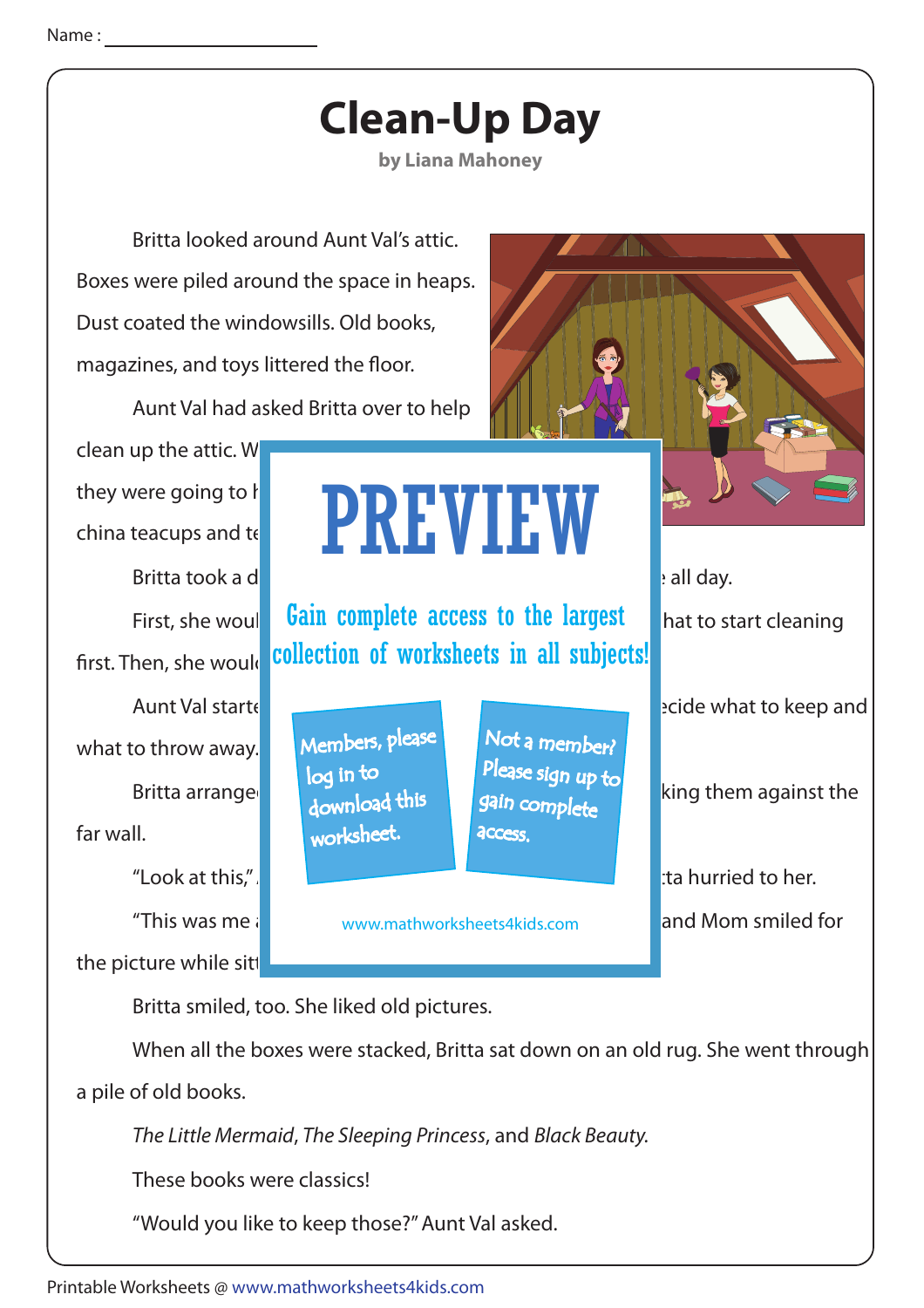

"Would you like to keep those?" Aunt Val asked.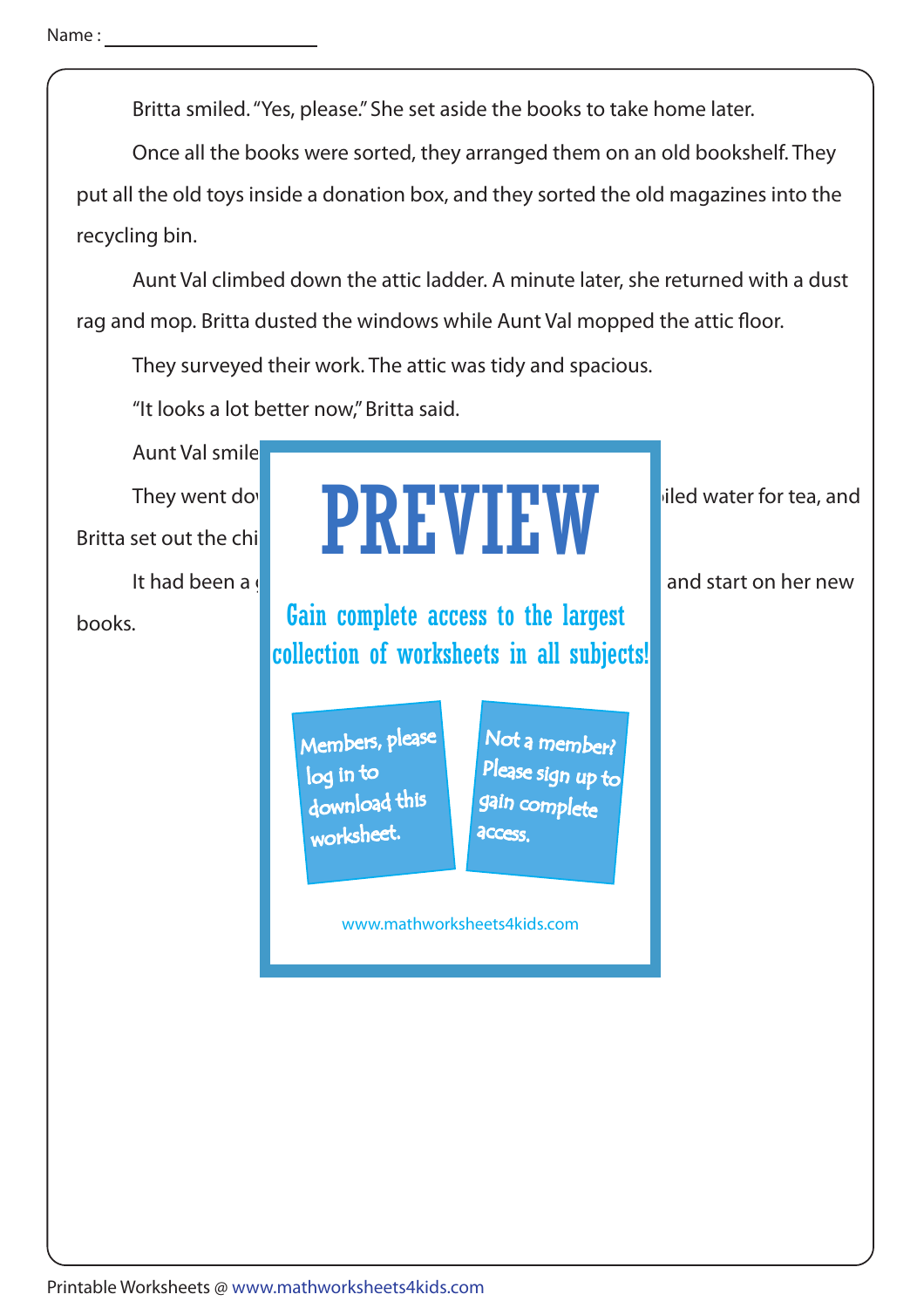Britta smiled. "Yes, please." She set aside the books to take home later.

Once all the books were sorted, they arranged them on an old bookshelf. They

put all the old toys inside a donation box, and they sorted the old magazines into the recycling bin.

 Aunt Val climbed down the attic ladder. A minute later, she returned with a dust rag and mop. Britta dusted the windows while Aunt Val mopped the attic floor.

They surveyed their work. The attic was tidy and spacious.

"It looks a lot better now," Britta said.

Aunt Val smile

Britta set out the chi

It had been a great day, and Britain was excepted to get home and start on her new

books.

### They went downstand **PREVIEW** iled water for tea, and pritta set out the chine and **PREVIEW**

Gain complete access to the largest collection of worksheets in all subjects!

Members, please download this worksheet. log in to

Not a member? gain complete Please sign up to **access** 

www.mathworksheets4kids.com

Printable Worksheets @ www.mathworksheets4kids.com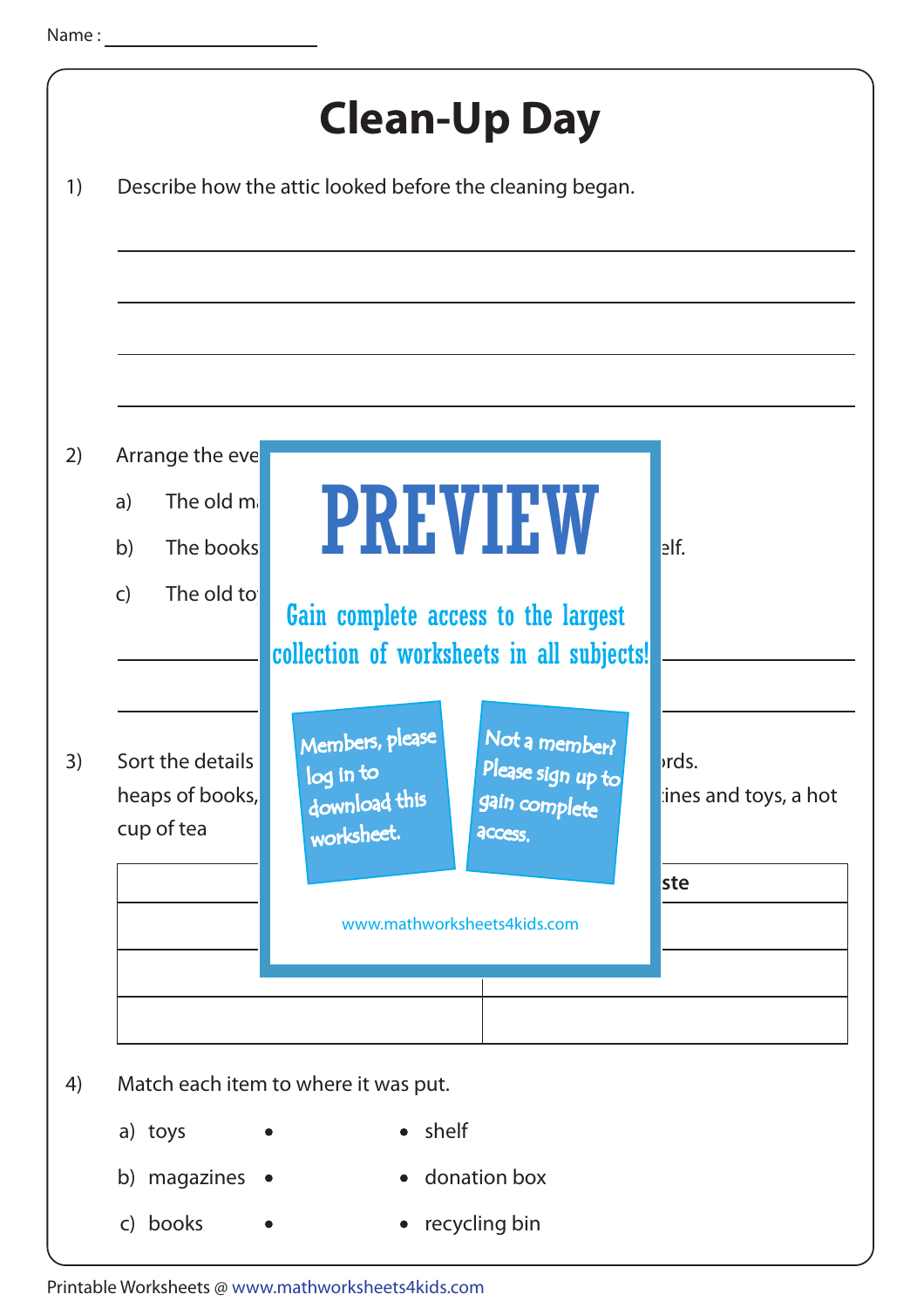| 1) |                                                                                      | <b>Clean-Up Day</b><br>Describe how the attic looked before the cleaning began.                                               |                                            |
|----|--------------------------------------------------------------------------------------|-------------------------------------------------------------------------------------------------------------------------------|--------------------------------------------|
| 2) | Arrange the eve<br>The old ma<br>a)<br>b)<br>The books<br>The old to<br>$\mathsf{C}$ | PREVIEW<br>Gain complete access to the largest<br>collection of worksheets in all subjects!                                   | $e$ lf.                                    |
|    | Sort the details<br>heaps of books,<br>cup of tea                                    | Members, please<br>Not a member?<br>Please sign up to<br>log in to<br>download this<br>gain complete<br>worksheet.<br>access. | <i>rds.</i><br>ines and toys, a hot<br>ste |
|    |                                                                                      | www.mathworksheets4kids.com                                                                                                   |                                            |
|    | Match each item to where it was put.                                                 |                                                                                                                               |                                            |
|    | a) toys<br>b) magazines                                                              | • shelf<br>• donation box                                                                                                     |                                            |

Printable Worksheets @ www.mathworksheets4kids.com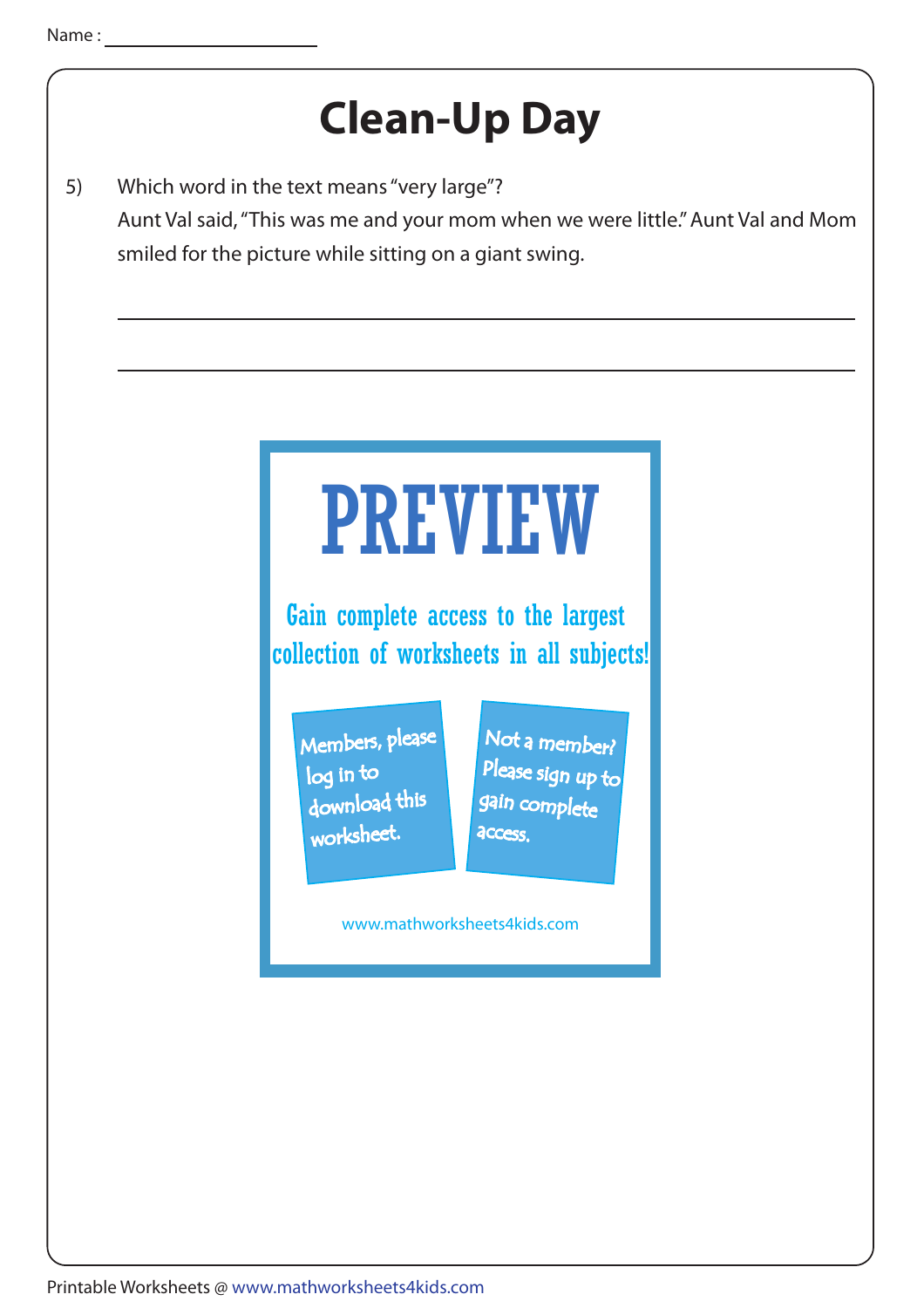#### **Clean-Up Day**

5) Which word in the text means "very large"? Aunt Val said, "This was me and your mom when we were little." Aunt Val and Mom smiled for the picture while sitting on a giant swing.

# PREVIEW

Gain complete access to the largest collection of worksheets in all subjects!

Members, please download this worksheet. log in to

Not a member? gain complete Please sign up to **access** 

www.mathworksheets4kids.com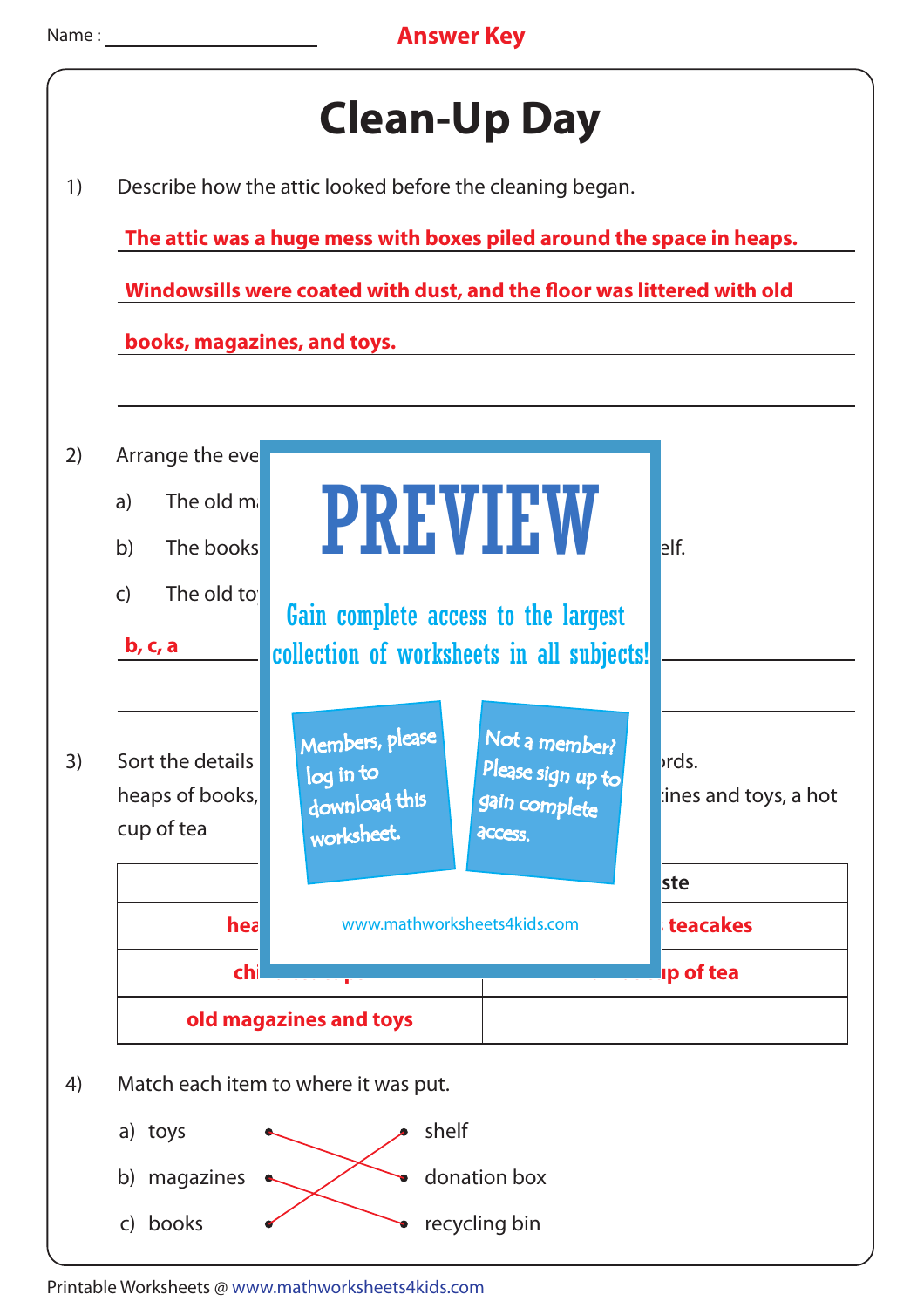

Printable Worksheets @ www.mathworksheets4kids.com